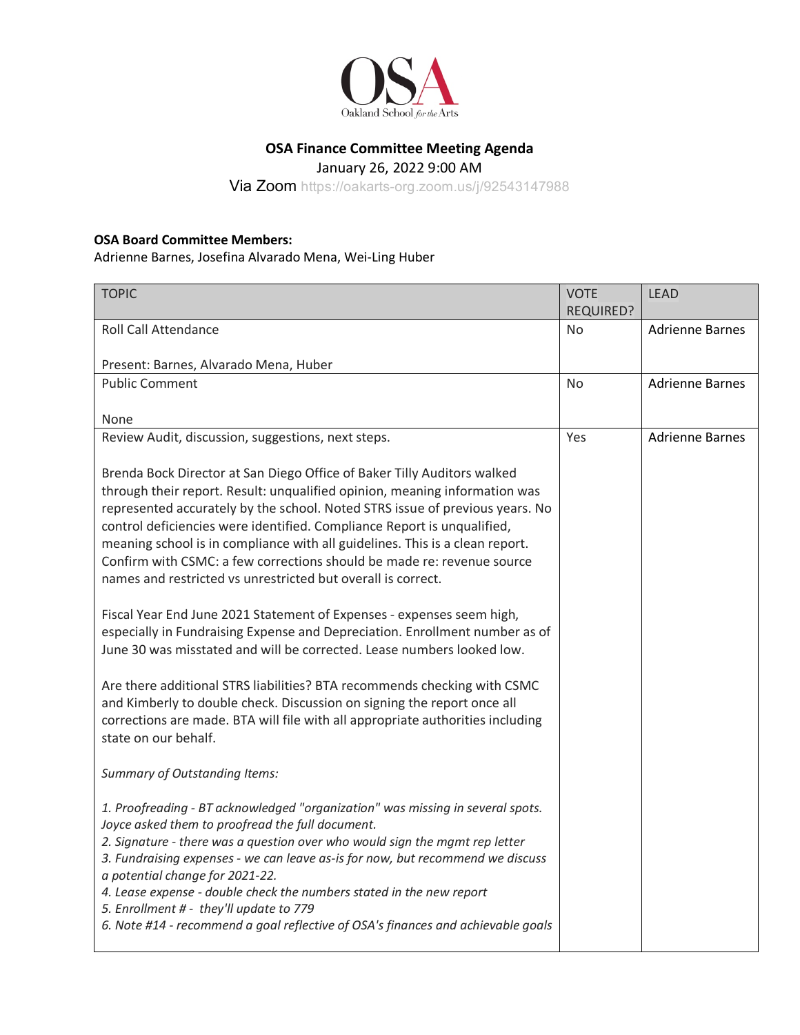

## **OSA Finance Committee Meeting Agenda**

January 26, 2022 9:00 AM

Via Zoom https://oakarts-org.zoom.us/j/92543147988

## **OSA Board Committee Members:**

Adrienne Barnes, Josefina Alvarado Mena, Wei-Ling Huber

| <b>TOPIC</b>                                                                                                                                                                                                                                                                                                                                                                                                                                                                                                                                  | <b>VOTE</b>    | <b>LEAD</b>            |
|-----------------------------------------------------------------------------------------------------------------------------------------------------------------------------------------------------------------------------------------------------------------------------------------------------------------------------------------------------------------------------------------------------------------------------------------------------------------------------------------------------------------------------------------------|----------------|------------------------|
|                                                                                                                                                                                                                                                                                                                                                                                                                                                                                                                                               | REQUIRED?      |                        |
| <b>Roll Call Attendance</b>                                                                                                                                                                                                                                                                                                                                                                                                                                                                                                                   | N <sub>o</sub> | <b>Adrienne Barnes</b> |
|                                                                                                                                                                                                                                                                                                                                                                                                                                                                                                                                               |                |                        |
| Present: Barnes, Alvarado Mena, Huber                                                                                                                                                                                                                                                                                                                                                                                                                                                                                                         |                |                        |
| <b>Public Comment</b>                                                                                                                                                                                                                                                                                                                                                                                                                                                                                                                         | N <sub>o</sub> | <b>Adrienne Barnes</b> |
|                                                                                                                                                                                                                                                                                                                                                                                                                                                                                                                                               |                |                        |
| None                                                                                                                                                                                                                                                                                                                                                                                                                                                                                                                                          |                |                        |
| Review Audit, discussion, suggestions, next steps.                                                                                                                                                                                                                                                                                                                                                                                                                                                                                            | Yes            | <b>Adrienne Barnes</b> |
| Brenda Bock Director at San Diego Office of Baker Tilly Auditors walked<br>through their report. Result: unqualified opinion, meaning information was<br>represented accurately by the school. Noted STRS issue of previous years. No<br>control deficiencies were identified. Compliance Report is unqualified,<br>meaning school is in compliance with all guidelines. This is a clean report.<br>Confirm with CSMC: a few corrections should be made re: revenue source<br>names and restricted vs unrestricted but overall is correct.    |                |                        |
| Fiscal Year End June 2021 Statement of Expenses - expenses seem high,<br>especially in Fundraising Expense and Depreciation. Enrollment number as of<br>June 30 was misstated and will be corrected. Lease numbers looked low.                                                                                                                                                                                                                                                                                                                |                |                        |
| Are there additional STRS liabilities? BTA recommends checking with CSMC<br>and Kimberly to double check. Discussion on signing the report once all<br>corrections are made. BTA will file with all appropriate authorities including<br>state on our behalf.                                                                                                                                                                                                                                                                                 |                |                        |
| <b>Summary of Outstanding Items:</b>                                                                                                                                                                                                                                                                                                                                                                                                                                                                                                          |                |                        |
| 1. Proofreading - BT acknowledged "organization" was missing in several spots.<br>Joyce asked them to proofread the full document.<br>2. Signature - there was a question over who would sign the mgmt rep letter<br>3. Fundraising expenses - we can leave as-is for now, but recommend we discuss<br>a potential change for 2021-22.<br>4. Lease expense - double check the numbers stated in the new report<br>5. Enrollment # - they'll update to 779<br>6. Note #14 - recommend a goal reflective of OSA's finances and achievable goals |                |                        |